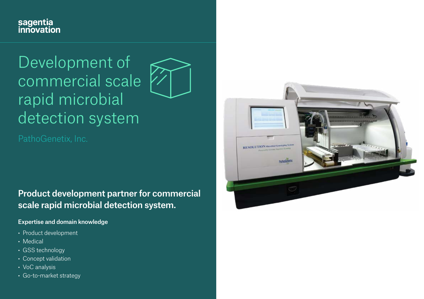## sagentia<br>innovation

# Development of commercial scale rapid microbial detection system



Product development partner for commercial scale rapid microbial detection system.

#### Expertise and domain knowledge

- Product development
- Medical
- GSS technology
- Concept validation
- VoC analysis
- Go-to-market strategy